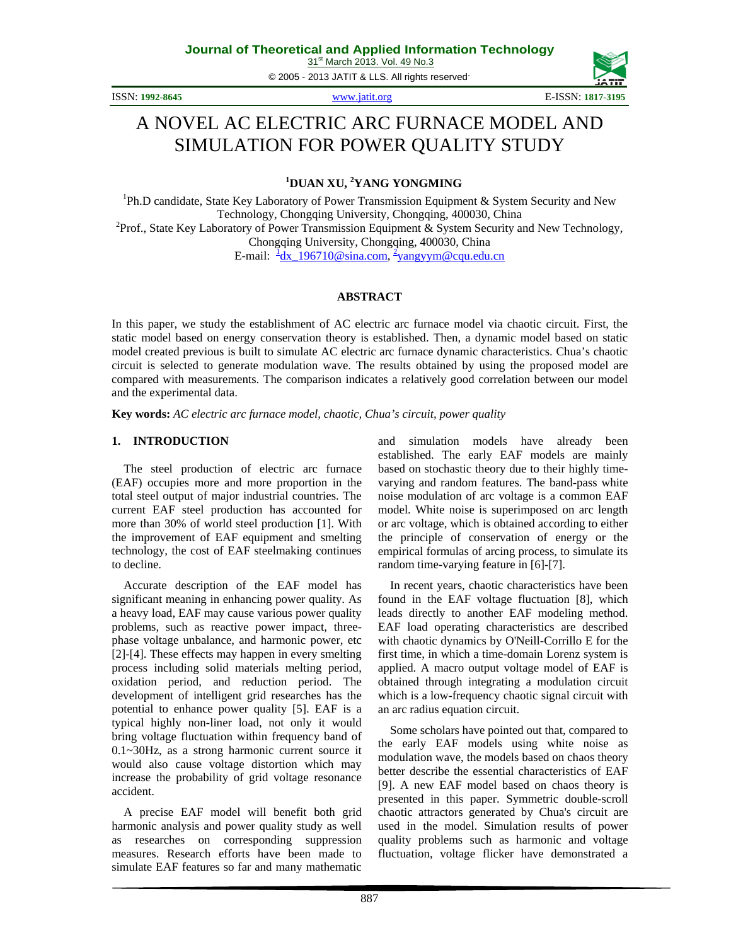© 2005 - 2013 JATIT & LLS. All rights reserved.



# A NOVEL AC ELECTRIC ARC FURNACE MODEL AND SIMULATION FOR POWER QUALITY STUDY

**1 DUAN XU, <sup>2</sup> YANG YONGMING**

<sup>1</sup>Ph.D candidate, State Key Laboratory of Power Transmission Equipment & System Security and New Technology, Chongqing University, Chongqing, 400030, China <sup>2</sup>  $P<sup>2</sup>$ Prof., State Key Laboratory of Power Transmission Equipment & System Security and New Technology, Chongqing University, Chongqing, 400030, China E-mail:  $\frac{1}{2}$ [dx\\_196710@sina.com,](mailto:1dx_196710@sina.com)  $\frac{2}{3}$ [yangyym@cqu.edu.cn](mailto:2yangyym@cqu.edu.cn)

#### **ABSTRACT**

In this paper, we study the establishment of AC electric arc furnace model via chaotic circuit. First, the static model based on energy conservation theory is established. Then, a dynamic model based on static model created previous is built to simulate AC electric arc furnace dynamic characteristics. Chua's chaotic circuit is selected to generate modulation wave. The results obtained by using the proposed model are compared with measurements. The comparison indicates a relatively good correlation between our model and the experimental data.

**Key words:** *AC electric arc furnace model, chaotic, Chua's circuit, power quality*

#### **1. INTRODUCTION**

The steel production of electric arc furnace (EAF) occupies more and more proportion in the total steel output of major industrial countries. The current EAF steel production has accounted for more than 30% of world steel production [1]. With the improvement of EAF equipment and smelting technology, the cost of EAF steelmaking continues to decline.

Accurate description of the EAF model has significant meaning in enhancing power quality. As a heavy load, EAF may cause various power quality problems, such as reactive power impact, threephase voltage unbalance, and harmonic power, etc [2]-[4]. These effects may happen in every smelting process including solid materials melting period, oxidation period, and reduction period. The development of intelligent grid researches has the potential to enhance power quality [5]. EAF is a typical highly non-liner load, not only it would bring voltage fluctuation within frequency band of 0.1~30Hz, as a strong harmonic current source it would also cause voltage distortion which may increase the probability of grid voltage resonance accident.

A precise EAF model will benefit both grid harmonic analysis and power quality study as well as researches on corresponding suppression measures. Research efforts have been made to simulate EAF features so far and many mathematic and simulation models have already been established. The early EAF models are mainly based on stochastic theory due to their highly timevarying and random features. The band-pass white noise modulation of arc voltage is a common EAF model. White noise is superimposed on arc length or arc voltage, which is obtained according to either the principle of conservation of energy or the empirical formulas of arcing process, to simulate its random time-varying feature in [6]-[7].

In recent years, chaotic characteristics have been found in the EAF voltage fluctuation [8], which leads directly to another EAF modeling method. EAF load operating characteristics are described with chaotic dynamics by O'Neill-Corrillo E for the first time, in which a time-domain Lorenz system is applied. A macro output voltage model of EAF is obtained through integrating a modulation circuit which is a low-frequency chaotic signal circuit with an arc radius equation circuit.

Some scholars have pointed out that, compared to the early EAF models using white noise as modulation wave, the models based on chaos theory better describe the essential characteristics of EAF [9]. A new EAF model based on chaos theory is presented in this paper. Symmetric double-scroll chaotic attractors generated by Chua's circuit are used in the model. Simulation results of power quality problems such as harmonic and voltage fluctuation, voltage flicker have demonstrated a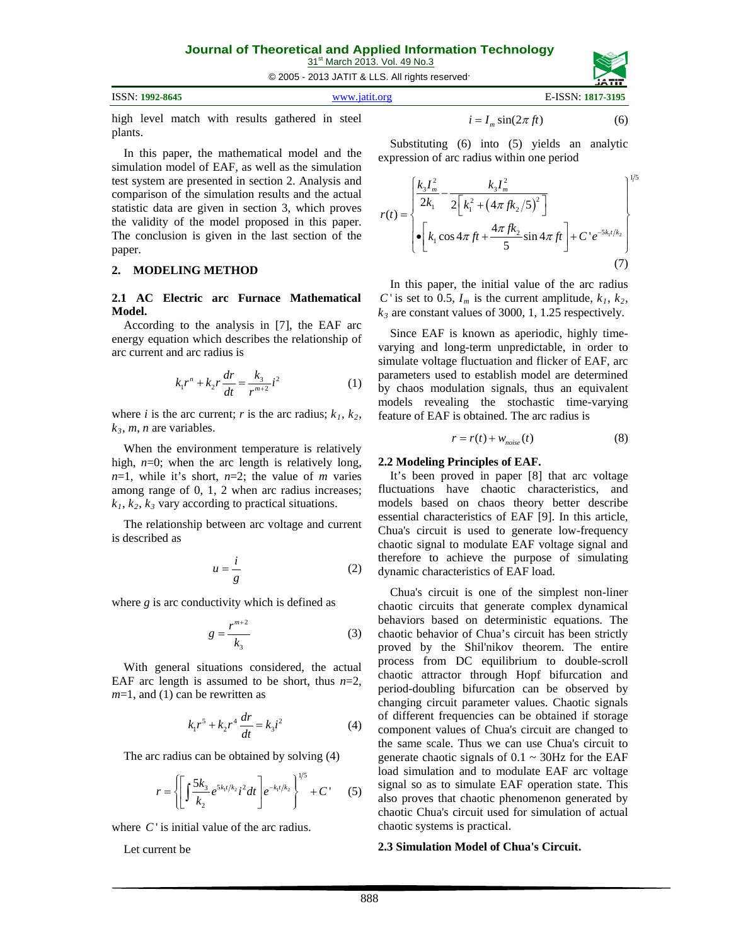31<sup>st</sup> March 2013. Vol. 49 No.3

© 2005 - 2013 JATIT & LLS. All rights reserved.

| ISSN: 1992-8645 | www.jatit.org | E-ISSN: 1817-3195 |
|-----------------|---------------|-------------------|
|                 |               |                   |

high level match with results gathered in steel plants.

In this paper, the mathematical model and the simulation model of EAF, as well as the simulation test system are presented in section 2. Analysis and comparison of the simulation results and the actual statistic data are given in section 3, which proves the validity of the model proposed in this paper. The conclusion is given in the last section of the paper.

#### **2. MODELING METHOD**

**2.1 AC Electric arc Furnace Mathematical Model.** 

According to the analysis in [7], the EAF arc energy equation which describes the relationship of arc current and arc radius is

$$
k_1 r^n + k_2 r \frac{dr}{dt} = \frac{k_3}{r^{m+2}} i^2
$$
 (1)

where *i* is the arc current; *r* is the arc radius;  $k_1$ ,  $k_2$ ,  $k_3$ , *m*, *n* are variables.

When the environment temperature is relatively high,  $n=0$ ; when the arc length is relatively long,  $n=1$ , while it's short,  $n=2$ ; the value of *m* varies among range of 0, 1, 2 when arc radius increases;  $k_1, k_2, k_3$  vary according to practical situations.

The relationship between arc voltage and current is described as

$$
u = \frac{i}{g} \tag{2}
$$

where *g* is arc conductivity which is defined as

$$
g = \frac{r^{m+2}}{k_3} \tag{3}
$$

With general situations considered, the actual EAF arc length is assumed to be short, thus  $n=2$ , *m*=1, and (1) can be rewritten as

$$
k_1 r^5 + k_2 r^4 \frac{dr}{dt} = k_3 i^2
$$
 (4)

The arc radius can be obtained by solving (4)

$$
r = \left\{ \left[ \int \frac{5k_3}{k_2} e^{5k_1 t/k_2} i^2 dt \right] e^{-k_1 t/k_2} \right\}^{1/5} + C' \qquad (5)
$$

where C' is initial value of the arc radius.

Let current be

$$
i = I_m \sin(2\pi f t) \tag{6}
$$

Substituting (6) into (5) yields an analytic expression of arc radius within one period

$$
r(t) = \begin{cases} \frac{k_3 I_m^2}{2k_1} - \frac{k_3 I_m^2}{2\left[k_1^2 + \left(4\pi f k_2/5\right)^2\right]} \\ \left\{ \left(k_1 \cos 4\pi f t + \frac{4\pi f k_2}{5} \sin 4\pi f t \right) + C' e^{-5k_1 t/k_2} \right\} \end{cases} \tag{7}
$$

In this paper, the initial value of the arc radius *C* ' is set to 0.5,  $I_m$  is the current amplitude,  $k_1, k_2$ ,  $k_3$  are constant values of 3000, 1, 1.25 respectively.

Since EAF is known as aperiodic, highly timevarying and long-term unpredictable, in order to simulate voltage fluctuation and flicker of EAF, arc parameters used to establish model are determined by chaos modulation signals, thus an equivalent models revealing the stochastic time-varying feature of EAF is obtained. The arc radius is

$$
r = r(t) + w_{noise}(t) \tag{8}
$$

#### **2.2 Modeling Principles of EAF.**

It's been proved in paper [8] that arc voltage fluctuations have chaotic characteristics, and models based on chaos theory better describe essential characteristics of EAF [9]. In this article, Chua's circuit is used to generate low-frequency chaotic signal to modulate EAF voltage signal and therefore to achieve the purpose of simulating dynamic characteristics of EAF load.

Chua's circuit is one of the simplest non-liner chaotic circuits that generate complex dynamical behaviors based on deterministic equations. The chaotic behavior of Chua's circuit has been strictly proved by the Shil'nikov theorem. The entire process from DC equilibrium to double-scroll chaotic attractor through Hopf bifurcation and period-doubling bifurcation can be observed by changing circuit parameter values. Chaotic signals of different frequencies can be obtained if storage component values of Chua's circuit are changed to the same scale. Thus we can use Chua's circuit to generate chaotic signals of  $0.1 \sim 30$ Hz for the EAF load simulation and to modulate EAF arc voltage signal so as to simulate EAF operation state. This also proves that chaotic phenomenon generated by chaotic Chua's circuit used for simulation of actual chaotic systems is practical.

#### **2.3 Simulation Model of Chua's Circuit.**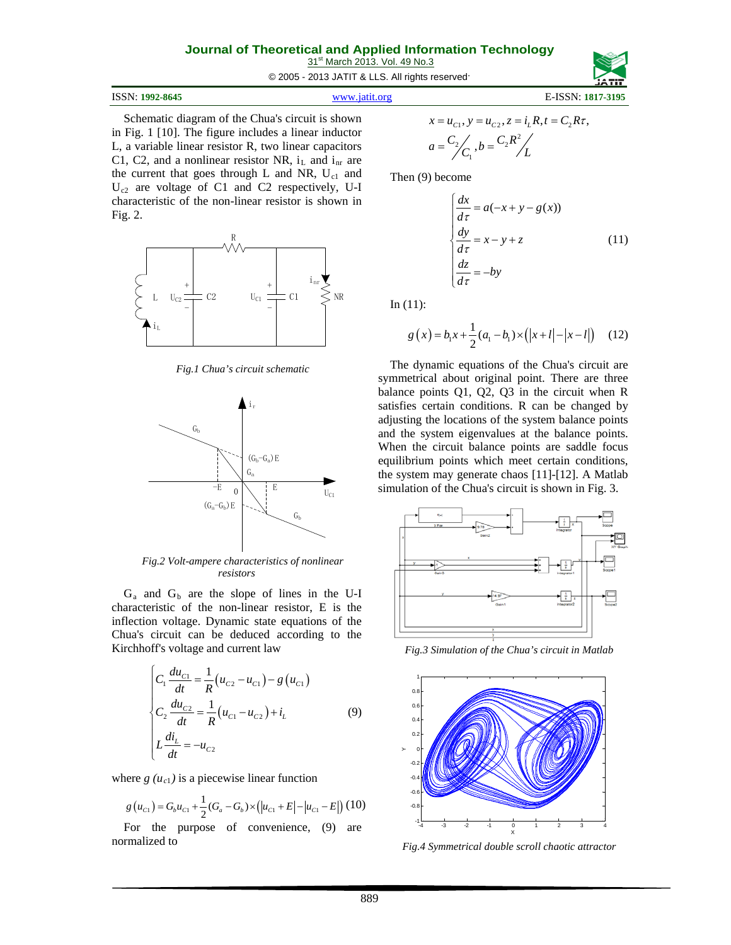31<sup>st</sup> March 2013. Vol. 49 No.3

© 2005 - 2013 JATIT & LLS. All rights reserved.

| ISSN: 1992-8645 | www.jatit.org | E-ISSN: 1817-3195 |
|-----------------|---------------|-------------------|
|-----------------|---------------|-------------------|

Schematic diagram of the Chua's circuit is shown in Fig. 1 [10]. The figure includes a linear inductor L, a variable linear resistor R, two linear capacitors C1, C2, and a nonlinear resistor NR,  $i_L$  and  $i_{nr}$  are the current that goes through  $L$  and NR,  $U_{c1}$  and U<sub>c2</sub> are voltage of C1 and C2 respectively, U-I characteristic of the non-linear resistor is shown in Fig. 2.



*Fig.1 Chua's circuit schematic*



*Fig.2 Volt-ampere characteristics of nonlinear resistors*

 $G_a$  and  $G_b$  are the slope of lines in the U-I characteristic of the non-linear resistor, E is the inflection voltage. Dynamic state equations of the Chua's circuit can be deduced according to the Kirchhoff's voltage and current law

$$
\begin{cases}\nC_1 \frac{du_{C1}}{dt} = \frac{1}{R} (u_{C2} - u_{C1}) - g (u_{C1}) \\
C_2 \frac{du_{C2}}{dt} = \frac{1}{R} (u_{C1} - u_{C2}) + i_L \\
L \frac{di_L}{dt} = -u_{C2}\n\end{cases}
$$
\n(9)

where  $g(u_{c1})$  is a piecewise linear function

$$
g(u_{C1}) = G_b u_{C1} + \frac{1}{2} (G_a - G_b) \times (|u_{C1} + E| - |u_{C1} - E|) (10)
$$

For the purpose of convenience, (9) are normalized to

$$
x = u_{c1}, y = u_{c2}, z = i_L R, t = C_2 R \tau,
$$
  
\n
$$
a = \frac{C_2}{C_1}, b = \frac{C_2 R^2}{L}
$$

Then (9) become

$$
\begin{cases}\n\frac{dx}{d\tau} = a(-x + y - g(x)) \\
\frac{dy}{d\tau} = x - y + z \\
\frac{dz}{d\tau} = -by\n\end{cases}
$$
\n(11)

In  $(11)$ :

$$
g(x) = b_1 x + \frac{1}{2}(a_1 - b_1) \times (|x + l| - |x - l|) \quad (12)
$$

The dynamic equations of the Chua's circuit are symmetrical about original point. There are three balance points Q1, Q2, Q3 in the circuit when R satisfies certain conditions. R can be changed by adjusting the locations of the system balance points and the system eigenvalues at the balance points. When the circuit balance points are saddle focus equilibrium points which meet certain conditions, the system may generate chaos [11]-[12]. A Matlab simulation of the Chua's circuit is shown in Fig. 3.



*Fig.3 Simulation of the Chua's circuit in Matlab*



*Fig.4 Symmetrical double scroll chaotic attractor*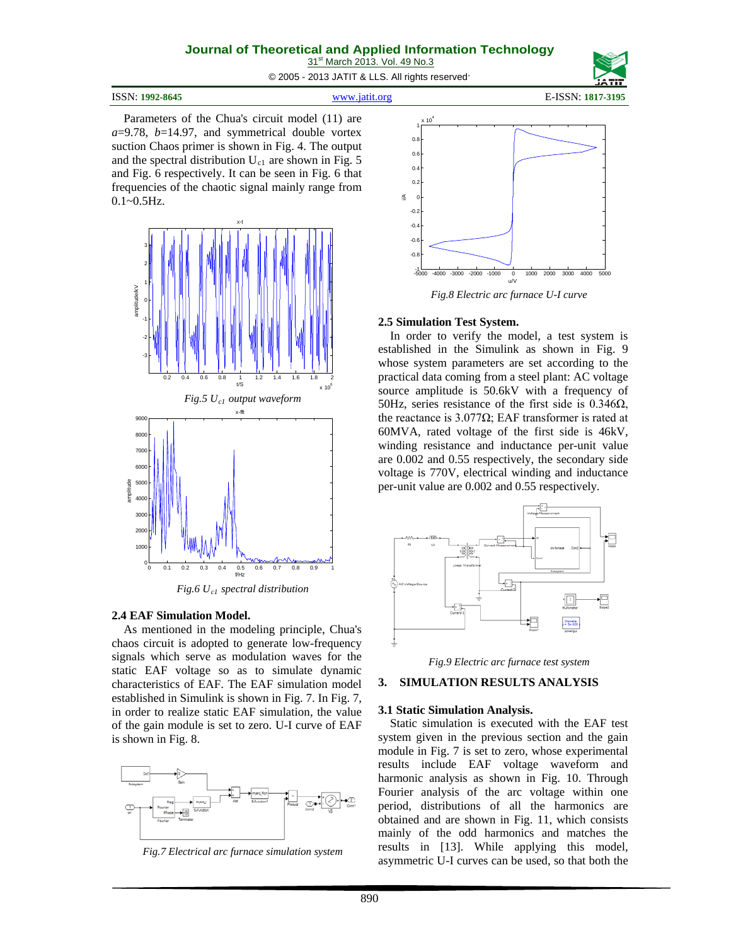31<sup>st</sup> March 2013. Vol. 49 No.3

© 2005 - 2013 JATIT & LLS. All rights reserved.

ISSN: **1992-8645** [www.jatit.org](http://www.jatit.org/) E-ISSN: **1817-3195**

Parameters of the Chua's circuit model (11) are *a*=9.78, *b*=14.97, and symmetrical double vortex suction Chaos primer is shown in Fig. 4. The output and the spectral distribution  $U_{c1}$  are shown in Fig. 5 and Fig. 6 respectively. It can be seen in Fig. 6 that frequencies of the chaotic signal mainly range from  $0.1 - 0.5$ Hz.



*Fig.6 Uc1 spectral distribution*

#### **2.4 EAF Simulation Model.**

As mentioned in the modeling principle, Chua's chaos circuit is adopted to generate low-frequency signals which serve as modulation waves for the static EAF voltage so as to simulate dynamic characteristics of EAF. The EAF simulation model established in Simulink is shown in Fig. 7. In Fig. 7, in order to realize static EAF simulation, the value of the gain module is set to zero. U-I curve of EAF is shown in Fig. 8.



*Fig.7 Electrical arc furnace simulation system*



*Fig.8 Electric arc furnace U-I curve*

#### **2.5 Simulation Test System.**

In order to verify the model, a test system is established in the Simulink as shown in Fig. 9 whose system parameters are set according to the practical data coming from a steel plant: AC voltage source amplitude is 50.6kV with a frequency of 50Hz, series resistance of the first side is  $0.346\Omega$ , the reactance is 3.077Ω; EAF transformer is rated at 60MVA, rated voltage of the first side is 46kV, winding resistance and inductance per-unit value are 0.002 and 0.55 respectively, the secondary side voltage is 770V, electrical winding and inductance per-unit value are 0.002 and 0.55 respectively.



*Fig.9 Electric arc furnace test system*

## **3. SIMULATION RESULTS ANALYSIS**

#### **3.1 Static Simulation Analysis.**

Static simulation is executed with the EAF test system given in the previous section and the gain module in Fig. 7 is set to zero, whose experimental results include EAF voltage waveform and harmonic analysis as shown in Fig. 10. Through Fourier analysis of the arc voltage within one period, distributions of all the harmonics are obtained and are shown in Fig. 11, which consists mainly of the odd harmonics and matches the results in [13]. While applying this model, asymmetric U-I curves can be used, so that both the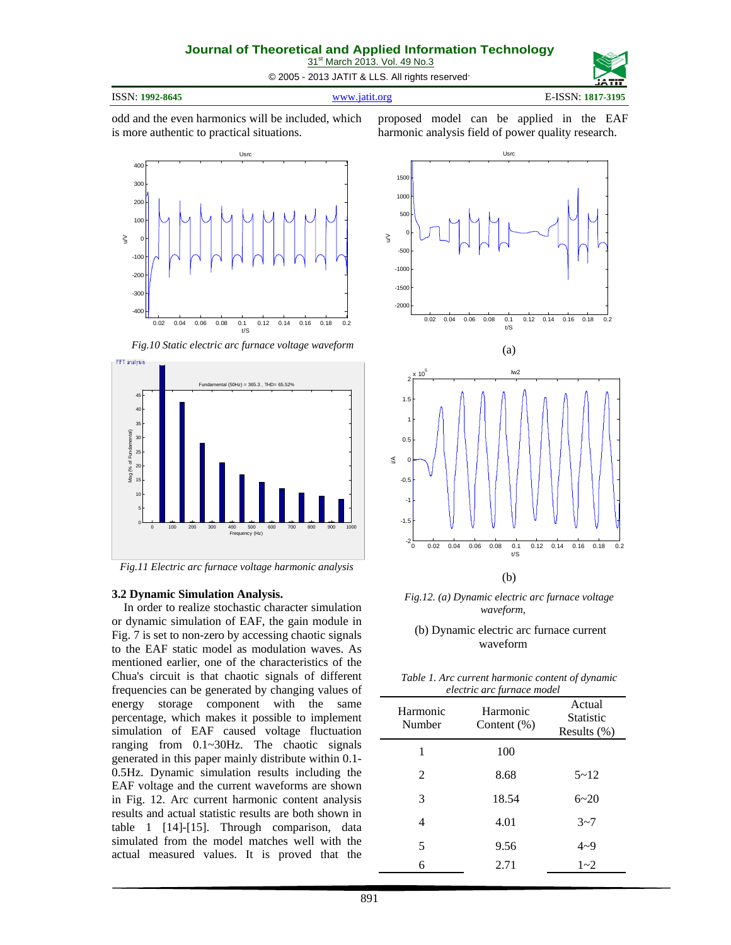31<sup>st</sup> March 2013. Vol. 49 No.3 © 2005 - 2013 JATIT & LLS. All rights reserved.

ISSN: **1992-8645** [www.jatit.org](http://www.jatit.org/) E-ISSN: **1817-3195**

odd and the even harmonics will be included, which is more authentic to practical situations.

proposed model can be applied in the EAF harmonic analysis field of power quality research.



*Fig.10 Static electric arc furnace voltage waveform*



*Fig.11 Electric arc furnace voltage harmonic analysis*

#### **3.2 Dynamic Simulation Analysis.**

In order to realize stochastic character simulation or dynamic simulation of EAF, the gain module in Fig. 7 is set to non-zero by accessing chaotic signals to the EAF static model as modulation waves. As mentioned earlier, one of the characteristics of the Chua's circuit is that chaotic signals of different frequencies can be generated by changing values of energy storage component with the same percentage, which makes it possible to implement simulation of EAF caused voltage fluctuation ranging from 0.1~30Hz. The chaotic signals generated in this paper mainly distribute within 0.1- 0.5Hz. Dynamic simulation results including the EAF voltage and the current waveforms are shown in Fig. 12. Arc current harmonic content analysis results and actual statistic results are both shown in table 1 [14]-[15]. Through comparison, data simulated from the model matches well with the actual measured values. It is proved that the





*Fig.12. (a) Dynamic electric arc furnace voltage waveform,*

#### (b) Dynamic electric arc furnace current waveform

| Table 1. Arc current harmonic content of dynamic |  |  |  |
|--------------------------------------------------|--|--|--|
| electric arc furnace model                       |  |  |  |

| Harmonic<br>Number | Harmonic<br>Content $(\%)$ | $\alpha$ . The case of $\alpha$ is the contract of $\alpha$<br>Actual<br>Statistic<br>Results $(\%)$ |  |
|--------------------|----------------------------|------------------------------------------------------------------------------------------------------|--|
| 1                  | 100                        |                                                                                                      |  |
| 2                  | 8.68                       | $5 - 12$                                                                                             |  |
| 3                  | 18.54                      | $6 - 20$                                                                                             |  |
| 4                  | 4.01                       | $3 - 7$                                                                                              |  |
| 5                  | 9.56                       | $4 - 9$                                                                                              |  |
| 6                  | 2.71                       | $1 - 2$                                                                                              |  |